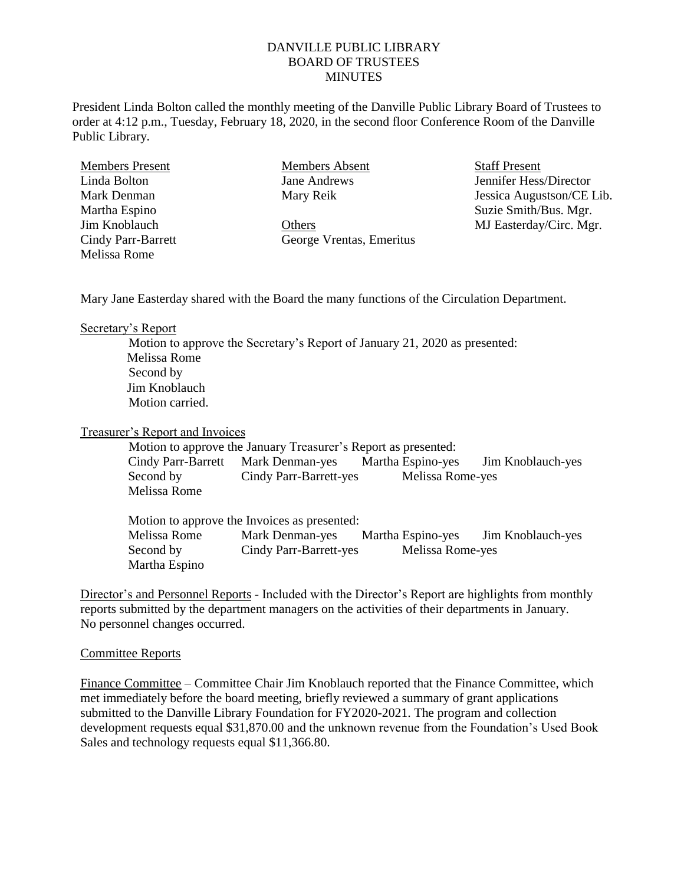## DANVILLE PUBLIC LIBRARY BOARD OF TRUSTEES **MINUTES**

President Linda Bolton called the monthly meeting of the Danville Public Library Board of Trustees to order at 4:12 p.m., Tuesday, February 18, 2020, in the second floor Conference Room of the Danville Public Library.

Members Present Linda Bolton Mark Denman Martha Espino Jim Knoblauch Cindy Parr-Barrett Melissa Rome

Members Absent Jane Andrews Mary Reik

**Others** George Vrentas, Emeritus Staff Present Jennifer Hess/Director Jessica Augustson/CE Lib. Suzie Smith/Bus. Mgr. MJ Easterday/Circ. Mgr.

Mary Jane Easterday shared with the Board the many functions of the Circulation Department.

Secretary's Report

Motion to approve the Secretary's Report of January 21, 2020 as presented: Melissa Rome Second by Jim Knoblauch Motion carried.

Treasurer's Report and Invoices

Motion to approve the January Treasurer's Report as presented:

Cindy Parr-Barrett Mark Denman-yes Martha Espino-yes Jim Knoblauch-yes Second by Cindy Parr-Barrett-yes Melissa Rome-yes Melissa Rome

Motion to approve the Invoices as presented: Melissa Rome Mark Denman-yes Martha Espino-yes Jim Knoblauch-yes Second by Cindy Parr-Barrett-yes Melissa Rome-yes Martha Espino

Director's and Personnel Reports - Included with the Director's Report are highlights from monthly reports submitted by the department managers on the activities of their departments in January. No personnel changes occurred.

## Committee Reports

Finance Committee – Committee Chair Jim Knoblauch reported that the Finance Committee, which met immediately before the board meeting, briefly reviewed a summary of grant applications submitted to the Danville Library Foundation for FY2020-2021. The program and collection development requests equal \$31,870.00 and the unknown revenue from the Foundation's Used Book Sales and technology requests equal \$11,366.80.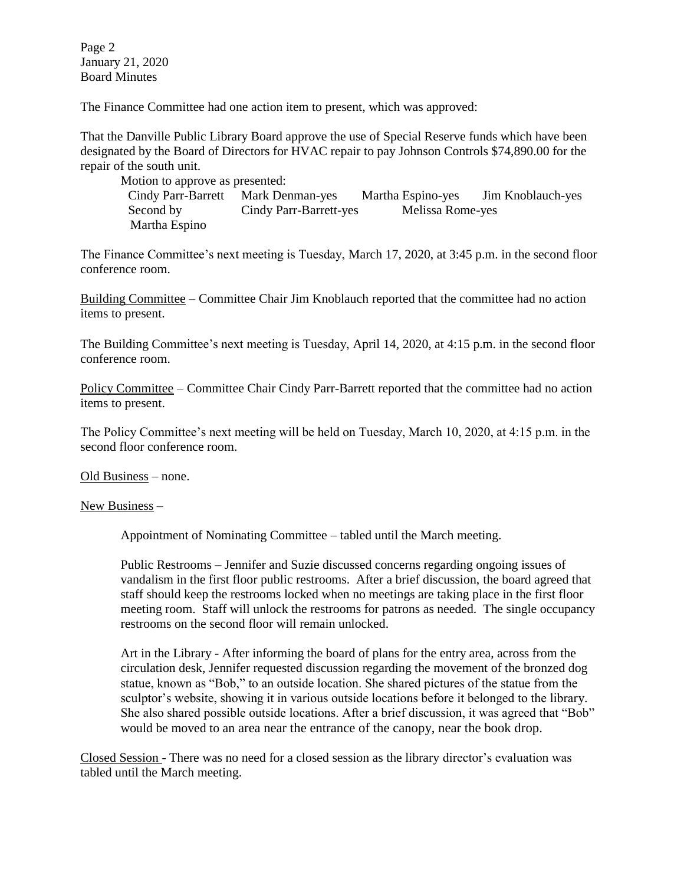Page 2 January 21, 2020 Board Minutes

The Finance Committee had one action item to present, which was approved:

That the Danville Public Library Board approve the use of Special Reserve funds which have been designated by the Board of Directors for HVAC repair to pay Johnson Controls \$74,890.00 for the repair of the south unit.

Motion to approve as presented: Cindy Parr-Barrett Mark Denman-yes Martha Espino-yes Jim Knoblauch-yes Second by Cindy Parr-Barrett-yes Melissa Rome-yes Martha Espino

The Finance Committee's next meeting is Tuesday, March 17, 2020, at 3:45 p.m. in the second floor conference room.

Building Committee – Committee Chair Jim Knoblauch reported that the committee had no action items to present.

The Building Committee's next meeting is Tuesday, April 14, 2020, at 4:15 p.m. in the second floor conference room.

Policy Committee – Committee Chair Cindy Parr-Barrett reported that the committee had no action items to present.

The Policy Committee's next meeting will be held on Tuesday, March 10, 2020, at 4:15 p.m. in the second floor conference room.

Old Business – none.

New Business –

Appointment of Nominating Committee – tabled until the March meeting.

Public Restrooms – Jennifer and Suzie discussed concerns regarding ongoing issues of vandalism in the first floor public restrooms. After a brief discussion, the board agreed that staff should keep the restrooms locked when no meetings are taking place in the first floor meeting room. Staff will unlock the restrooms for patrons as needed. The single occupancy restrooms on the second floor will remain unlocked.

Art in the Library - After informing the board of plans for the entry area, across from the circulation desk, Jennifer requested discussion regarding the movement of the bronzed dog statue, known as "Bob," to an outside location. She shared pictures of the statue from the sculptor's website, showing it in various outside locations before it belonged to the library. She also shared possible outside locations. After a brief discussion, it was agreed that "Bob" would be moved to an area near the entrance of the canopy, near the book drop.

Closed Session - There was no need for a closed session as the library director's evaluation was tabled until the March meeting.